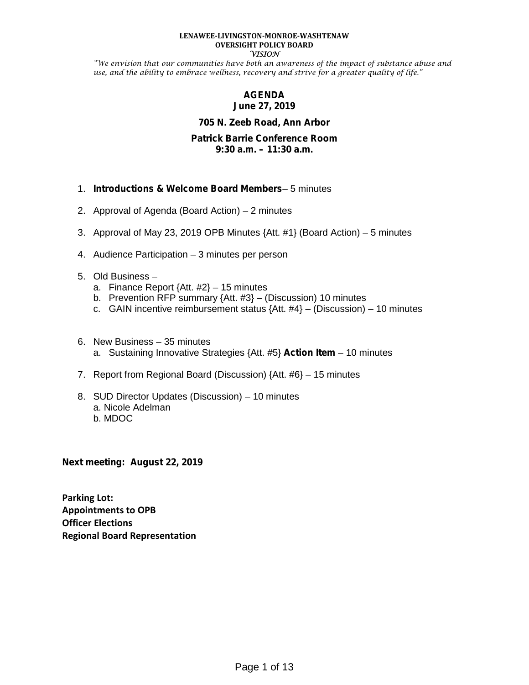#### **LENAWEE-LIVINGSTON-MONROE-WASHTENAW OVERSIGHT POLICY BOARD VISION**

"We envision that our communities have both an awareness of the impact of substance abuse and use, and the ability to embrace wellness, recovery and strive for a greater quality of life."

# **AGENDA June 27, 2019**

## **705 N. Zeeb Road, Ann Arbor**

#### **Patrick Barrie Conference Room 9:30 a.m. – 11:30 a.m.**

- 1. *Introductions & Welcome Board Members* 5 minutes
- 2. Approval of Agenda (Board Action) 2 minutes
- 3. Approval of May 23, 2019 OPB Minutes {Att. #1} (Board Action) 5 minutes
- 4. Audience Participation 3 minutes per person
- 5. Old Business
	- a. Finance Report {Att. #2} 15 minutes
	- b. Prevention RFP summary {Att. #3} (Discussion) 10 minutes
	- c. GAIN incentive reimbursement status  $\{Att. #4\} (Discussion) 10$  minutes
- 6. New Business 35 minutes a. Sustaining Innovative Strategies {Att. #5} **Action Item** – 10 minutes
- 7. Report from Regional Board (Discussion) {Att. #6} 15 minutes
- 8. SUD Director Updates (Discussion) 10 minutes a. Nicole Adelman b. MDOC

**Next meeting: August 22, 2019**

**Parking Lot: Appointments to OPB Officer Elections Regional Board Representation**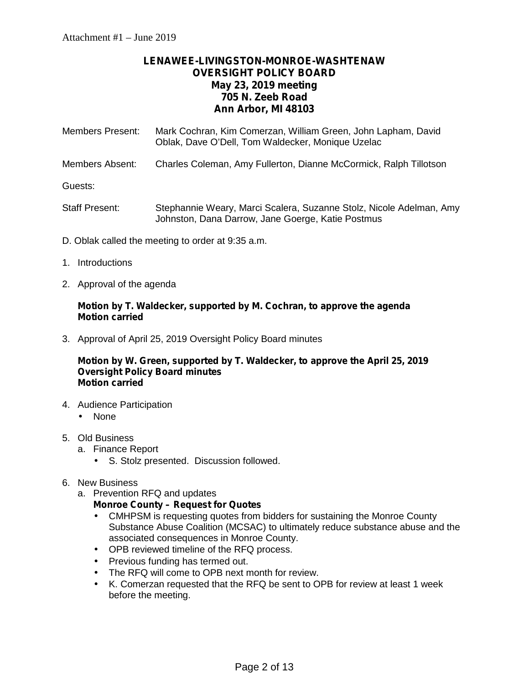# **LENAWEE-LIVINGSTON-MONROE-WASHTENAW OVERSIGHT POLICY BOARD May 23, 2019 meeting 705 N. Zeeb Road Ann Arbor, MI 48103**

| Members Present: | Mark Cochran, Kim Comerzan, William Green, John Lapham, David<br>Oblak, Dave O'Dell, Tom Waldecker, Monique Uzelac       |
|------------------|--------------------------------------------------------------------------------------------------------------------------|
| Members Absent:  | Charles Coleman, Amy Fullerton, Dianne McCormick, Ralph Tillotson                                                        |
| Guests:          |                                                                                                                          |
| Staff Present:   | Stephannie Weary, Marci Scalera, Suzanne Stolz, Nicole Adelman, Amy<br>Johnston, Dana Darrow, Jane Goerge, Katie Postmus |

- D. Oblak called the meeting to order at 9:35 a.m.
- 1. Introductions
- 2. Approval of the agenda

## **Motion by T. Waldecker, supported by M. Cochran, to approve the agenda Motion carried**

3. Approval of April 25, 2019 Oversight Policy Board minutes

#### **Motion by W. Green, supported by T. Waldecker, to approve the April 25, 2019 Oversight Policy Board minutes Motion carried**

- 4. Audience Participation None
- 5. Old Business
	- a. Finance Report
		- S. Stolz presented. Discussion followed.
- 6. New Business
	- a. Prevention RFQ and updates

# **Monroe County – Request for Quotes**

- CMHPSM is requesting quotes from bidders for sustaining the Monroe County Substance Abuse Coalition (MCSAC) to ultimately reduce substance abuse and the associated consequences in Monroe County.
- OPB reviewed timeline of the RFQ process.
- $\hat{U}$  Previous funding has termed out.
- $\hat{I}$  The RFQ will come to OPB next month for review.
- K. Comerzan requested that the RFQ be sent to OPB for review at least 1 week before the meeting.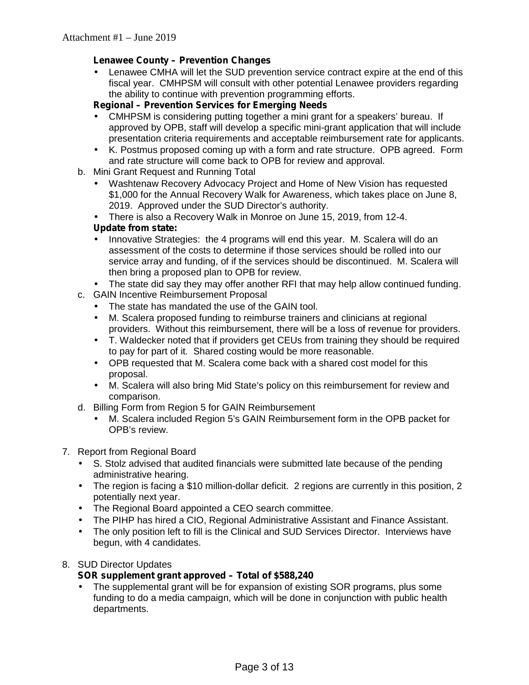# **Lenawee County – Prevention Changes**

 Lenawee CMHA will let the SUD prevention service contract expire at the end of this fiscal year. CMHPSM will consult with other potential Lenawee providers regarding the ability to continue with prevention programming efforts.

# **Regional – Prevention Services for Emerging Needs**

- CMHPSM is considering putting together a mini grant for a speakers' bureau. If approved by OPB, staff will develop a specific mini-grant application that will include presentation criteria requirements and acceptable reimbursement rate for applicants.
- K. Postmus proposed coming up with a form and rate structure. OPB agreed. Form and rate structure will come back to OPB for review and approval.
- b. Mini Grant Request and Running Total
	- Washtenaw Recovery Advocacy Project and Home of New Vision has requested \$1,000 for the Annual Recovery Walk for Awareness, which takes place on June 8, 2019. Approved under the SUD Director's authority.
	- There is also a Recovery Walk in Monroe on June 15, 2019, from 12-4.

# **Update from state:**

- Innovative Strategies: the 4 programs will end this year. M. Scalera will do an assessment of the costs to determine if those services should be rolled into our service array and funding, of if the services should be discontinued. M. Scalera will then bring a proposed plan to OPB for review.
- The state did say they may offer another RFI that may help allow continued funding.
- c. GAIN Incentive Reimbursement Proposal
	- The state has mandated the use of the GAIN tool.
	- M. Scalera proposed funding to reimburse trainers and clinicians at regional providers. Without this reimbursement, there will be a loss of revenue for providers.
	-
	- T. Waldecker noted that if providers get CEUs from training they should be required to pay for part of it. Shared costing would be more reasonable.
	- OPB requested that M. Scalera come back with a shared cost model for this proposal.
	- M. Scalera will also bring Mid State's policy on this reimbursement for review and comparison.
- d. Billing Form from Region 5 for GAIN Reimbursement
	- M. Scalera included Region 5's GAIN Reimbursement form in the OPB packet for OPB's review.

# 7. Report from Regional Board

- S. Stolz advised that audited financials were submitted late because of the pending administrative hearing.
- The region is facing a \$10 million-dollar deficit. 2 regions are currently in this position, 2 potentially next year.
- The Regional Board appointed a CEO search committee.
- The PIHP has hired a CIO, Regional Administrative Assistant and Finance Assistant.
- The only position left to fill is the Clinical and SUD Services Director. Interviews have begun, with 4 candidates.

# 8. SUD Director Updates

# **SOR supplement grant approved – Total of \$588,240**

 The supplemental grant will be for expansion of existing SOR programs, plus some funding to do a media campaign, which will be done in conjunction with public health departments.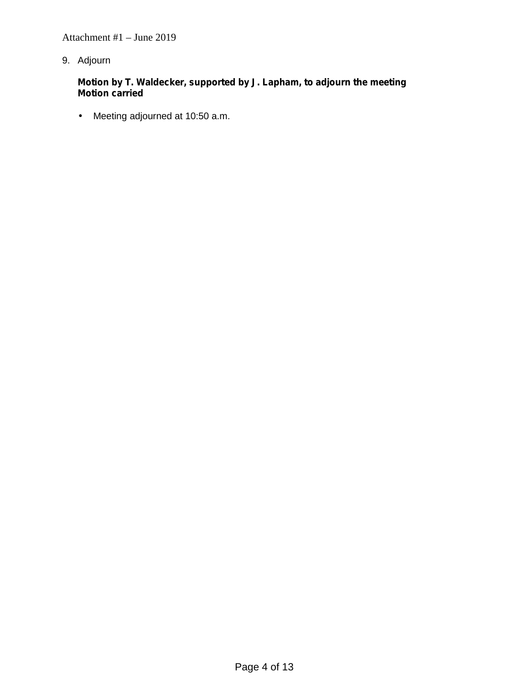Attachment #1 – June 2019

9. Adjourn

**Motion by T. Waldecker, supported by J. Lapham, to adjourn the meeting Motion carried**

Meeting adjourned at 10:50 a.m.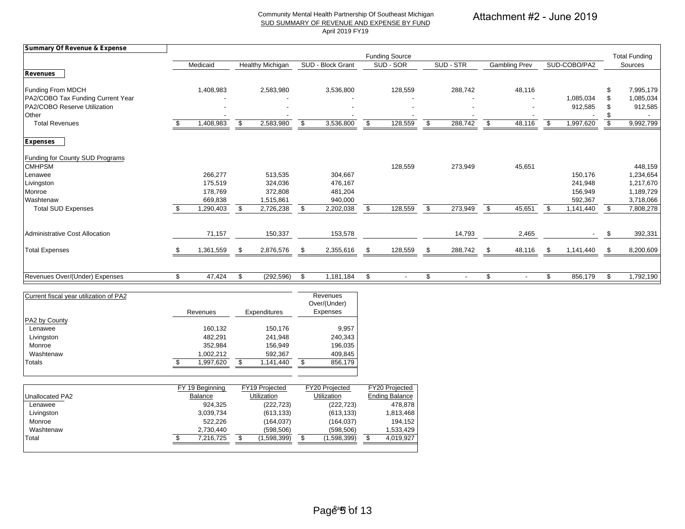#### Community Mental Health Partnership Of Southeast Michigan SUD SUMMARY OF REVENUE AND EXPENSE BY FUND April 2019 FY19

# Attachment #2 - June 2019

| <b>Summary Of Revenue &amp; Expense</b> |     |           |                         |     |                   |                                |     |                          |                      |     |                          |                      |
|-----------------------------------------|-----|-----------|-------------------------|-----|-------------------|--------------------------------|-----|--------------------------|----------------------|-----|--------------------------|----------------------|
|                                         |     |           |                         |     |                   | <b>Funding Source</b>          |     |                          |                      |     |                          | <b>Total Funding</b> |
|                                         |     | Medicaid  | <b>Healthy Michigan</b> |     | SUD - Block Grant | SUD - SOR                      |     | SUD - STR                | Gambling Prev        |     | SUD-COBO/PA2             | Sources              |
| <b>Revenues</b>                         |     |           |                         |     |                   |                                |     |                          |                      |     |                          |                      |
| <b>Funding From MDCH</b>                |     | 1,408,983 | 2,583,980               |     | 3,536,800         | 128,559                        |     | 288,742                  | 48,116               |     |                          | \$<br>7,995,179      |
| PA2/COBO Tax Funding Current Year       |     |           |                         |     |                   |                                |     |                          |                      |     | 1,085,034                | 1,085,034            |
| PA2/COBO Reserve Utilization            |     |           |                         |     |                   | $\overline{\phantom{a}}$       |     |                          |                      |     | 912,585                  | 912,585              |
| Other                                   |     |           |                         |     |                   |                                |     |                          |                      |     |                          |                      |
| <b>Total Revenues</b>                   |     | 1,408,983 | \$<br>2,583,980         | \$  | 3,536,800         | \$<br>128,559                  | \$. | 288,742                  | \$<br>48,116         | \$. | 1,997,620                | \$<br>9,992,799      |
| <b>Expenses</b>                         |     |           |                         |     |                   |                                |     |                          |                      |     |                          |                      |
| Funding for County SUD Programs         |     |           |                         |     |                   |                                |     |                          |                      |     |                          |                      |
| <b>CMHPSM</b>                           |     |           |                         |     |                   | 128,559                        |     | 273,949                  | 45,651               |     |                          | 448,159              |
| Lenawee                                 |     | 266,277   | 513,535                 |     | 304,667           |                                |     |                          |                      |     | 150,176                  | 1,234,654            |
| Livingston                              |     | 175,519   | 324,036                 |     | 476,167           |                                |     |                          |                      |     | 241,948                  | 1,217,670            |
| Monroe                                  |     | 178,769   | 372,808                 |     | 481,204           |                                |     |                          |                      |     | 156,949                  | 1,189,729            |
| Washtenaw                               |     | 669,838   | 1,515,861               |     | 940,000           |                                |     |                          |                      |     | 592,367                  | 3,718,066            |
| <b>Total SUD Expenses</b>               |     | I,290,403 | \$<br>2,726,238         | -S  | 2,202,038         | \$<br>128,559                  |     | 273,949                  | \$<br>45,651         | ደ   | 1,141,440                | \$<br>7,808,278      |
| Administrative Cost Allocation          |     | 71,157    | 150,337                 |     | 153,578           |                                |     | 14,793                   | 2,465                |     | $\overline{\phantom{a}}$ | \$<br>392,331        |
|                                         |     |           |                         |     |                   |                                |     |                          |                      |     |                          |                      |
| <b>Total Expenses</b>                   | \$. | 1,361,559 | \$<br>2,876,576         | -\$ | 2,355,616         | \$<br>128,559                  | \$  | 288,742                  | 48,116<br>\$         | \$  | 1,141,440                | \$<br>8,200,609      |
|                                         |     |           |                         |     |                   |                                |     |                          |                      |     |                          |                      |
| Revenues Over/(Under) Expenses          | \$. | 47,424    | \$<br>(292, 596)        | \$. | 1,181,184         | \$<br>$\overline{\phantom{a}}$ | \$. | $\overline{\phantom{a}}$ | \$<br>$\blacksquare$ | \$  | 856,179                  | \$<br>1,792,190      |

| Current fiscal year utilization of PA2 | Revenues |           | Expenditures |           | Revenues<br>Over/(Under)<br>Expenses |         |
|----------------------------------------|----------|-----------|--------------|-----------|--------------------------------------|---------|
| PA2 by County                          |          |           |              |           |                                      |         |
| Lenawee                                |          | 160,132   |              | 150,176   |                                      | 9,957   |
| Livingston                             |          | 482.291   |              | 241,948   |                                      | 240,343 |
| Monroe                                 |          | 352,984   |              | 156.949   |                                      | 196,035 |
| Washtenaw                              |          | 1,002,212 |              | 592,367   |                                      | 409,845 |
| Totals                                 |          | 1,997,620 | \$.          | 1,141,440 | \$.                                  | 856,179 |

| FY 19 Beainning | FY19 Projected     | FY20 Projected                                            | FY20 Projected        |
|-----------------|--------------------|-----------------------------------------------------------|-----------------------|
| Balance         | <b>Utilization</b> | Utilization                                               | <b>Ending Balance</b> |
|                 | (222, 723)         | (222, 723)                                                | 478.878               |
|                 | (613, 133)         | (613, 133)                                                | 1,813,468             |
|                 | (164, 037)         | (164, 037)                                                | 194.152               |
|                 | (598.506)          | (598.506)                                                 | 1,533,429             |
|                 | (1,598,399)        | 1,598,399)                                                | 4,019,927             |
|                 |                    | 924.325<br>3,039,734<br>522.226<br>2.730.440<br>7.216.725 |                       |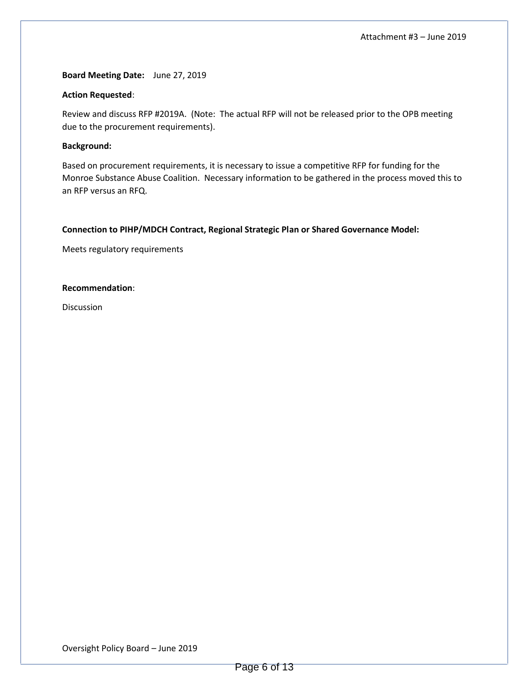**Board Meeting Date:** June 27, 2019

#### **Action Requested**:

Review and discuss RFP #2019A. (Note: The actual RFP will not be released prior to the OPB meeting due to the procurement requirements).

#### **Background:**

Based on procurement requirements, it is necessary to issue a competitive RFP for funding for the Monroe Substance Abuse Coalition. Necessary information to be gathered in the process moved this to an RFP versus an RFQ.

#### **Connection to PIHP/MDCH Contract, Regional Strategic Plan or Shared Governance Model:**

Meets regulatory requirements

#### **Recommendation**:

Discussion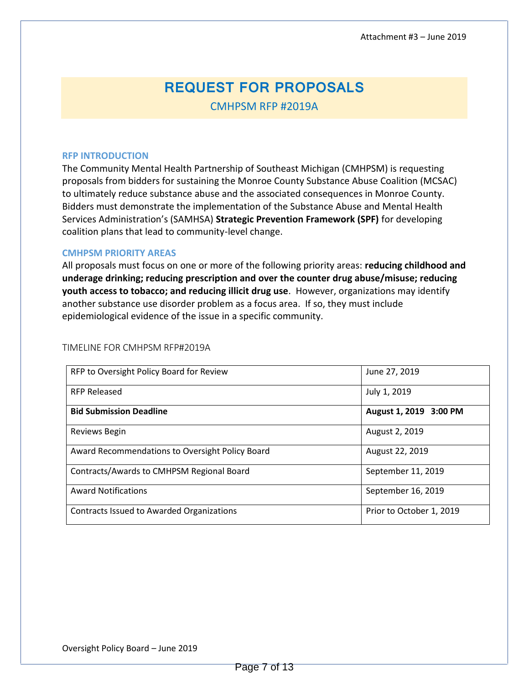# **REQUEST FOR PROPOSALS**

CMHPSM RFP #2019A

#### **RFP INTRODUCTION**

The Community Mental Health Partnership of Southeast Michigan (CMHPSM) is requesting proposals from bidders for sustaining the Monroe County Substance Abuse Coalition (MCSAC) to ultimately reduce substance abuse and the associated consequences in Monroe County. Bidders must demonstrate the implementation of the Substance Abuse and Mental Health Services Administration's (SAMHSA) **Strategic Prevention Framework (SPF)** for developing coalition plans that lead to community-level change.

#### **CMHPSM PRIORITY AREAS**

All proposals must focus on one or more of the following priority areas: **reducing childhood and underage drinking; reducing prescription and over the counter drug abuse/misuse; reducing youth access to tobacco; and reducing illicit drug use**. However, organizations may identify another substance use disorder problem as a focus area. If so, they must include epidemiological evidence of the issue in a specific community.

| RFP to Oversight Policy Board for Review        | June 27, 2019            |
|-------------------------------------------------|--------------------------|
| <b>RFP Released</b>                             | July 1, 2019             |
| <b>Bid Submission Deadline</b>                  | August 1, 2019 3:00 PM   |
| Reviews Begin                                   | August 2, 2019           |
| Award Recommendations to Oversight Policy Board | August 22, 2019          |
| Contracts/Awards to CMHPSM Regional Board       | September 11, 2019       |
| <b>Award Notifications</b>                      | September 16, 2019       |
| Contracts Issued to Awarded Organizations       | Prior to October 1, 2019 |

#### **TIMELINE FOR CMHPSM RFP#2019A**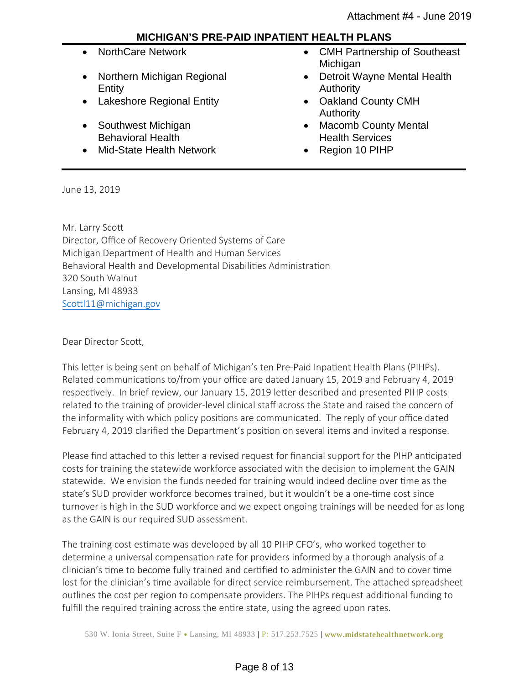# **MICHIGAN'S PRE-PAID INPATIENT HEALTH PLANS**

- 
- Northern Michigan Regional Entity
- Lakeshore Regional Entity Oakland County CMH
- Southwest Michigan Behavioral Health
- Mid-State Health Network Region 10 PIHP
- NorthCare Network CMH Partnership of Southeast Michigan
	- Detroit Wayne Mental Health Authority
	- Authority
	- Macomb County Mental Health Services
	-

June 13, 2019

Mr. Larry Scot Director, Office of Recovery Oriented Systems of Care Michigan Department of Health and Human Services Behavioral Health and Developmental Disabilities Administration 320 South Walnut Lansing, MI 48933 Scottl11@michigan.gov

Dear Director Scott,

This letter is being sent on behalf of Michigan's ten Pre-Paid Inpatient Health Plans (PIHPs). Related communications to/from your office are dated January 15, 2019 and February 4, 2019 respectively. In brief review, our January 15, 2019 letter described and presented PIHP costs related to the training of provider-level clinical staff across the State and raised the concern of the informality with which policy positions are communicated. The reply of your office dated February 4, 2019 clarified the Department's position on several items and invited a response.

Please find attached to this letter a revised request for financial support for the PIHP anticipated costs for training the statewide workforce associated with the decision to implement the GAIN statewide. We envision the funds needed for training would indeed decline over time as the state's SUD provider workforce becomes trained, but it wouldn't be a one-time cost since turnover is high in the SUD workforce and we expect ongoing trainings will be needed for as long as the GAIN is our required SUD assessment.

The training cost estimate was developed by all 10 PIHP CFO's, who worked together to determine a universal compensation rate for providers informed by a thorough analysis of a clinician's time to become fully trained and certified to administer the GAIN and to cover time lost for the clinician's time available for direct service reimbursement. The attached spreadsheet outlines the cost per region to compensate providers. The PIHPs request additional funding to fulfill the required training across the entire state, using the agreed upon rates.

530 W. Ionia Street, Suite F • Lansing, MI 48933 | P: 517.253.7525 | **www.midstatehealthnetwork.org**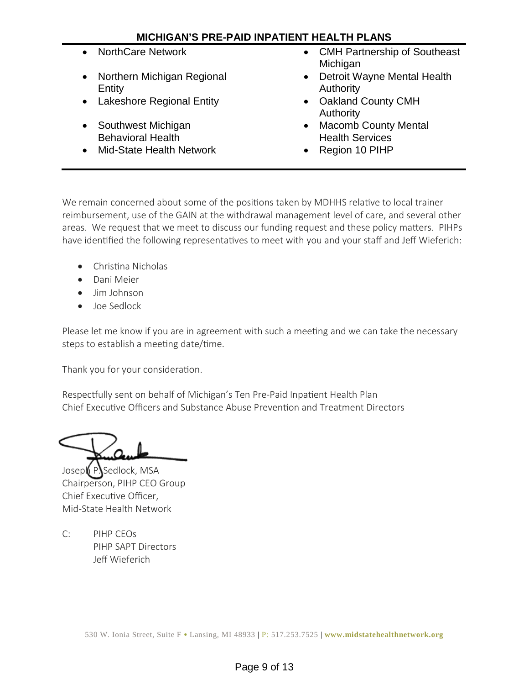# **MICHIGAN'S PRE-PAID INPATIENT HEALTH PLANS**

- 
- Northern Michigan Regional Entity
- Lakeshore Regional Entity Oakland County CMH
- Southwest Michigan Behavioral Health
- Mid-State Health Network Region 10 PIHP
- NorthCare Network CMH Partnership of Southeast **Michigan** 
	- Detroit Wayne Mental Health Authority
	- Authority
	- Macomb County Mental Health Services
	-

We remain concerned about some of the positions taken by MDHHS relative to local trainer reimbursement, use of the GAIN at the withdrawal management level of care, and several other areas. We request that we meet to discuss our funding request and these policy maters. PIHPs have identified the following representatives to meet with you and your staff and Jeff Wieferich:

- Christina Nicholas
- Dani Meier
- Jim Johnson
- Joe Sedlock

Please let me know if you are in agreement with such a meeting and we can take the necessary steps to establish a meeting date/time.

Thank you for your consideration.

Respectfully sent on behalf of Michigan's Ten Pre-Paid Inpatient Health Plan Chief Executive Officers and Substance Abuse Prevention and Treatment Directors

Joseph P. Sedlock, MSA Chairperson, PIHP CEO Group Chief Executive Officer, Mid-State Health Network

C: PIHP CEOs PIHP SAPT Directors Jeff Wieferich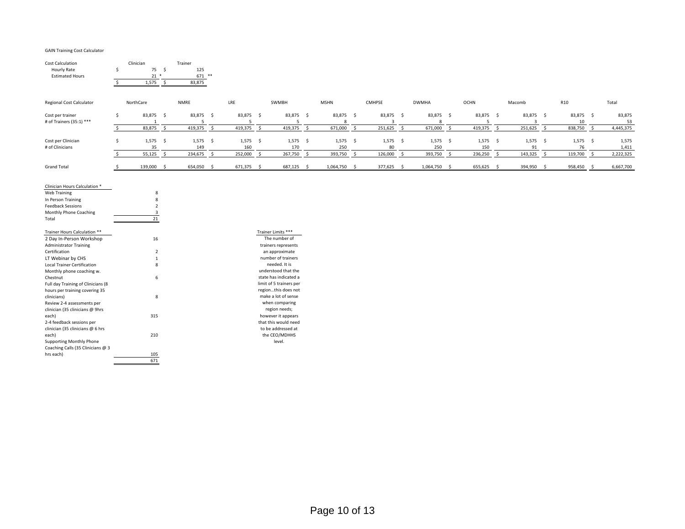#### GAIN Training Cost Calculator

| <b>Cost Calculation</b><br>Hourly Rate<br><b>Estimated Hours</b>                                                                   | Clinician<br>75 \$<br>\$<br>$21$ *<br>1,575<br>$\mathsf{S}$ | Trainer<br>125<br>$671$ **<br>83,875 |                         |                                                              |                         |                         |                                      |                   |              |                   |                    |                                      |              |                  |        |                |
|------------------------------------------------------------------------------------------------------------------------------------|-------------------------------------------------------------|--------------------------------------|-------------------------|--------------------------------------------------------------|-------------------------|-------------------------|--------------------------------------|-------------------|--------------|-------------------|--------------------|--------------------------------------|--------------|------------------|--------|----------------|
| <b>Regional Cost Calculator</b>                                                                                                    | NorthCare                                                   | <b>NMRE</b>                          | LRE                     | SWMBH                                                        | <b>MSHN</b>             | <b>CMHPSE</b>           |                                      | <b>DWMHA</b>      |              | <b>OCHN</b>       |                    | Macomb                               |              | R <sub>10</sub>  |        | Total          |
| Cost per trainer<br># of Trainers (35:1) ***                                                                                       | 83,875 \$<br>\$<br>$\mathbf{1}$                             | 83,875 \$<br>5                       | 83,875 \$<br>5          | 83,875 \$<br>5                                               | 83,875 \$<br>8          |                         | 83,875 \$<br>$\overline{\mathbf{3}}$ | 83,875 \$<br>8    |              | 83,875 \$<br>5    |                    | 83,875 \$<br>$\overline{\mathbf{3}}$ |              | 83,875 \$<br>10  |        | 83,875<br>53   |
|                                                                                                                                    | 83,875<br>$\mathsf{S}$<br>$\mathsf{S}$                      | 419,375 \$                           | 419,375<br>$\mathsf{S}$ | 419,375                                                      | $\mathsf{S}$<br>671,000 | S.                      | 251,625 \$                           | 671,000           | $\mathsf{S}$ | 419,375           | $\mathsf{S}$       | 251,625                              | $\sim$       | 838,750          | $\sim$ | 4,445,375      |
| Cost per Clinician<br># of Clinicians                                                                                              | $1,575$ \$<br>Ŝ.<br>35                                      | $1,575$ \$<br>149                    | $1,575$ \$<br>160       | $1,575$ \$<br>170                                            | $1,575$ \$<br>250       |                         | $1,575$ \$<br>80                     | $1,575$ \$<br>250 |              | $1,575$ \$<br>150 |                    | $1,575$ \$<br>91                     |              | $1,575$ \$<br>76 |        | 1,575<br>1,411 |
|                                                                                                                                    | 55,125<br>$\mathsf{S}$<br>$\leq$                            | 234,675<br>$\sim$                    | 252,000<br>S.           | 267,750                                                      | 393,750<br>$\mathsf{S}$ | 126,000<br>$\mathsf{S}$ | $\mathsf{S}$                         | 393,750           | $\mathsf{S}$ | 236,250           | $\dot{\mathsf{s}}$ | 143,325                              | $\mathsf{S}$ | 119,700          | $\leq$ | 2,222,325      |
| <b>Grand Total</b>                                                                                                                 | 139,000 \$<br>-Ś                                            | 654,050 \$                           | 671,375 \$              | 687,125 \$                                                   | 1,064,750 \$            |                         | 377,625 \$                           | 1,064,750 \$      |              | 655,625 \$        |                    | 394,950 \$                           |              | 958,450 \$       |        | 6,667,700      |
| Clinician Hours Calculation *<br>Web Training<br>In Person Training<br><b>Feedback Sessions</b><br>Monthly Phone Coaching<br>Total | 8<br>8<br>$\overline{2}$<br>3<br>21                         |                                      |                         |                                                              |                         |                         |                                      |                   |              |                   |                    |                                      |              |                  |        |                |
| Trainer Hours Calculation **<br>2 Day In-Person Workshop<br><b>Administrator Training</b>                                          | 16                                                          |                                      |                         | Trainer Limits ***<br>The number of<br>trainers represents   |                         |                         |                                      |                   |              |                   |                    |                                      |              |                  |        |                |
| Certification                                                                                                                      | $\overline{2}$<br>$\overline{1}$                            |                                      |                         | an approximate<br>number of trainers                         |                         |                         |                                      |                   |              |                   |                    |                                      |              |                  |        |                |
| LT Webinar by CHS<br>Local Trainer Certification<br>Monthly phone coaching w.                                                      | 8                                                           |                                      |                         | needed. It is<br>understood that the                         |                         |                         |                                      |                   |              |                   |                    |                                      |              |                  |        |                |
| Chestnut<br>Full day Training of Clinicians (8                                                                                     | 6                                                           |                                      |                         | state has indicated a<br>limit of 5 trainers per             |                         |                         |                                      |                   |              |                   |                    |                                      |              |                  |        |                |
| hours per training covering 35<br>clinicians)<br>Review 2-4 assessments per                                                        | 8                                                           |                                      |                         | regionthis does not<br>make a lot of sense<br>when comparing |                         |                         |                                      |                   |              |                   |                    |                                      |              |                  |        |                |
| clinician (35 clinicians @ 9hrs<br>each)<br>2-4 feedback sessions per                                                              | 315                                                         |                                      |                         | region needs;<br>however it appears<br>that this would need  |                         |                         |                                      |                   |              |                   |                    |                                      |              |                  |        |                |
| clinician (35 clinicians @ 6 hrs<br>each)<br><b>Supporting Monthly Phone</b><br>Coaching Calls (35 Clinicians @ 3                  | 210                                                         |                                      |                         | to be addressed at<br>the CEO/MDHHS<br>level.                |                         |                         |                                      |                   |              |                   |                    |                                      |              |                  |        |                |
| hrs each)                                                                                                                          | 105<br>671                                                  |                                      |                         |                                                              |                         |                         |                                      |                   |              |                   |                    |                                      |              |                  |        |                |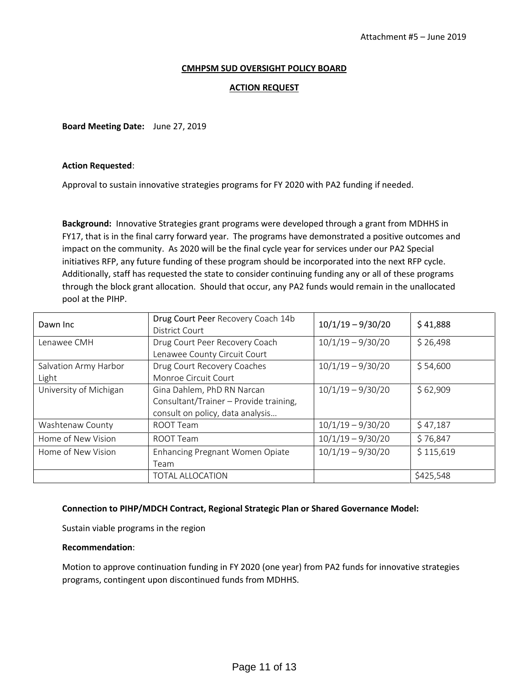#### **CMHPSM SUD OVERSIGHT POLICY BOARD**

#### **ACTION REQUEST**

**Board Meeting Date:** June 27, 2019

#### **Action Requested**:

Approval to sustain innovative strategies programs for FY 2020 with PA2 funding if needed.

**Background:** Innovative Strategies grant programs were developed through a grant from MDHHS in FY17, that is in the final carry forward year. The programs have demonstrated a positive outcomes and impact on the community. As 2020 will be the final cycle year for services under our PA2 Special initiatives RFP, any future funding of these program should be incorporated into the next RFP cycle. Additionally, staff has requested the state to consider continuing funding any or all of these programs through the block grant allocation. Should that occur, any PA2 funds would remain in the unallocated pool at the PIHP.

| Dawn Inc                       | Drug Court Peer Recovery Coach 14b<br><b>District Court</b>                                              | $10/1/19 - 9/30/20$ | \$41,888  |
|--------------------------------|----------------------------------------------------------------------------------------------------------|---------------------|-----------|
| Lenawee CMH                    | Drug Court Peer Recovery Coach<br>Lenawee County Circuit Court                                           | $10/1/19 - 9/30/20$ | \$26,498  |
| Salvation Army Harbor<br>Light | Drug Court Recovery Coaches<br>Monroe Circuit Court                                                      | $10/1/19 - 9/30/20$ | \$54,600  |
| University of Michigan         | Gina Dahlem, PhD RN Narcan<br>Consultant/Trainer - Provide training,<br>consult on policy, data analysis | $10/1/19 - 9/30/20$ | \$62,909  |
| Washtenaw County               | ROOT Team                                                                                                | $10/1/19 - 9/30/20$ | \$47,187  |
| Home of New Vision             | ROOT Team                                                                                                | $10/1/19 - 9/30/20$ | \$76,847  |
| Home of New Vision             | Enhancing Pregnant Women Opiate<br>Team                                                                  | $10/1/19 - 9/30/20$ | \$115,619 |
|                                | <b>TOTAL ALLOCATION</b>                                                                                  |                     | \$425,548 |

#### **Connection to PIHP/MDCH Contract, Regional Strategic Plan or Shared Governance Model:**

Sustain viable programs in the region

#### **Recommendation**:

Motion to approve continuation funding in FY 2020 (one year) from PA2 funds for innovative strategies programs, contingent upon discontinued funds from MDHHS.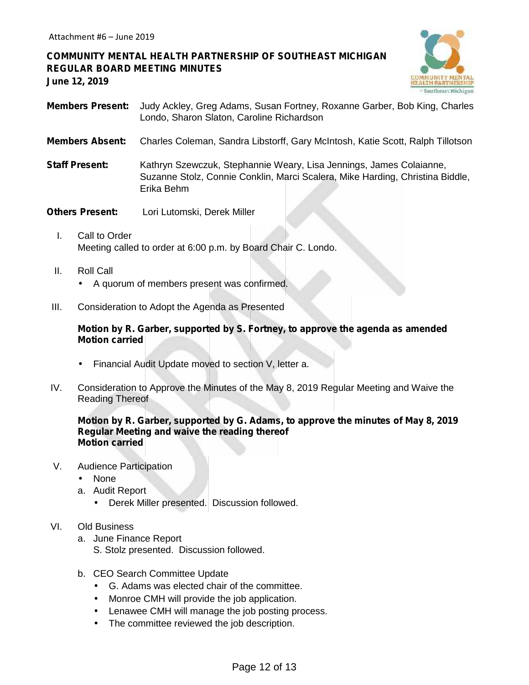# **COMMUNITY MENTAL HEALTH PARTNERSHIP OF SOUTHEAST MICHIGAN REGULAR BOARD MEETING MINUTES June 12, 2019**



- **Members Present:** Judy Ackley, Greg Adams, Susan Fortney, Roxanne Garber, Bob King, Charles Londo, Sharon Slaton, Caroline Richardson
- **Members Absent:** Charles Coleman, Sandra Libstorff, Gary McIntosh, Katie Scott, Ralph Tillotson
- **Staff Present:** Kathryn Szewczuk, Stephannie Weary, Lisa Jennings, James Colaianne, Suzanne Stolz, Connie Conklin, Marci Scalera, Mike Harding, Christina Biddle, Erika Behm
- **Others Present:** Lori Lutomski, Derek Miller
	- I. Call to Order Meeting called to order at 6:00 p.m. by Board Chair C. Londo.
	- II. Roll Call A quorum of members present was confirmed.
- III. Consideration to Adopt the Agenda as Presented

## **Motion by R. Garber, supported by S. Fortney, to approve the agenda as amended Motion carried**

- Financial Audit Update moved to section V, letter a.
- IV. Consideration to Approve the Minutes of the May 8, 2019 Regular Meeting and Waive the Reading Thereof

## **Motion by R. Garber, supported by G. Adams, to approve the minutes of May 8, 2019 Regular Meeting and waive the reading thereof Motion carried**

- V. Audience Participation
	- None
	- a. Audit Report
		- Derek Miller presented. Discussion followed.

#### VI. Old Business

- a. June Finance Report
	- S. Stolz presented. Discussion followed.
- b. CEO Search Committee Update
	- G. Adams was elected chair of the committee.
	- Monroe CMH will provide the job application.
	- Lenawee CMH will manage the job posting process.
	- The committee reviewed the job description.